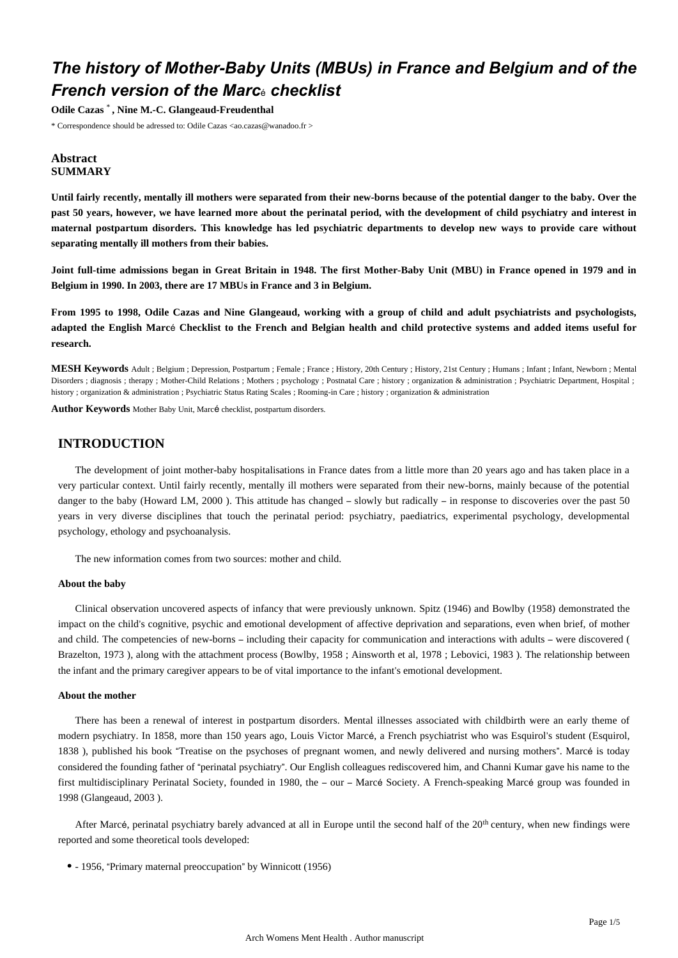# *The history of Mother-Baby Units (MBUs) in France and Belgium and of the French version of the Marc*é *checklist*

**Odile Cazas** \* **, Nine M.-C. Glangeaud-Freudenthal**

\* Correspondence should be adressed to: Odile Cazas <ao.cazas@wanadoo.fr >

## **Abstract SUMMARY**

**Until fairly recently, mentally ill mothers were separated from their new-borns because of the potential danger to the baby. Over the past 50 years, however, we have learned more about the perinatal period, with the development of child psychiatry and interest in maternal postpartum disorders. This knowledge has led psychiatric departments to develop new ways to provide care without separating mentally ill mothers from their babies.**

**Joint full-time admissions began in Great Britain in 1948. The first Mother-Baby Unit (MBU) in France opened in 1979 and in Belgium in 1990. In 2003, there are 17 MBUs in France and 3 in Belgium.**

**From 1995 to 1998, Odile Cazas and Nine Glangeaud, working with a group of child and adult psychiatrists and psychologists, adapted the English Marc**é **Checklist to the French and Belgian health and child protective systems and added items useful for research.**

**MESH Keywords** Adult ; Belgium ; Depression, Postpartum ; Female ; France ; History, 20th Century ; History, 21st Century ; Humans ; Infant ; Infant, Newborn ; Mental Disorders ; diagnosis ; therapy ; Mother-Child Relations ; Mothers ; psychology ; Postnatal Care ; history ; organization & administration ; Psychiatric Department, Hospital ; history ; organization & administration ; Psychiatric Status Rating Scales ; Rooming-in Care ; history ; organization & administration

**Author Keywords** Mother Baby Unit, Marcé checklist, postpartum disorders.

# **INTRODUCTION**

The development of joint mother-baby hospitalisations in France dates from a little more than 20 years ago and has taken place in a very particular context. Until fairly recently, mentally ill mothers were separated from their new-borns, mainly because of the potential danger to the baby (Howard LM, 2000). This attitude has changed – slowly but radically – in response to discoveries over the past 50 years in very diverse disciplines that touch the perinatal period: psychiatry, paediatrics, experimental psychology, developmental psychology, ethology and psychoanalysis.

The new information comes from two sources: mother and child.

### **About the baby**

Clinical observation uncovered aspects of infancy that were previously unknown. Spitz (1946) and Bowlby (1958) demonstrated the impact on the child's cognitive, psychic and emotional development of affective deprivation and separations, even when brief, of mother and child. The competencies of new-borns – including their capacity for communication and interactions with adults – were discovered ( Brazelton, 1973 ), along with the attachment process (Bowlby, 1958 ; Ainsworth et al, 1978 ; Lebovici, 1983 ). The relationship between the infant and the primary caregiver appears to be of vital importance to the infant's emotional development.

## **About the mother**

There has been a renewal of interest in postpartum disorders. Mental illnesses associated with childbirth were an early theme of modern psychiatry. In 1858, more than 150 years ago, Louis Victor Marcé, a French psychiatrist who was Esquirol's student (Esquirol, 1838 ), published his book "Treatise on the psychoses of pregnant women, and newly delivered and nursing mothers". Marcé is today considered the founding father of "perinatal psychiatry". Our English colleagues rediscovered him, and Channi Kumar gave his name to the first multidisciplinary Perinatal Society, founded in 1980, the – our – Marcé Society. A French-speaking Marcé group was founded in 1998 (Glangeaud, 2003 ).

After Marcé, perinatal psychiatry barely advanced at all in Europe until the second half of the 20<sup>th</sup> century, when new findings were reported and some theoretical tools developed:

- 1956, "Primary maternal preoccupation" by Winnicott (1956)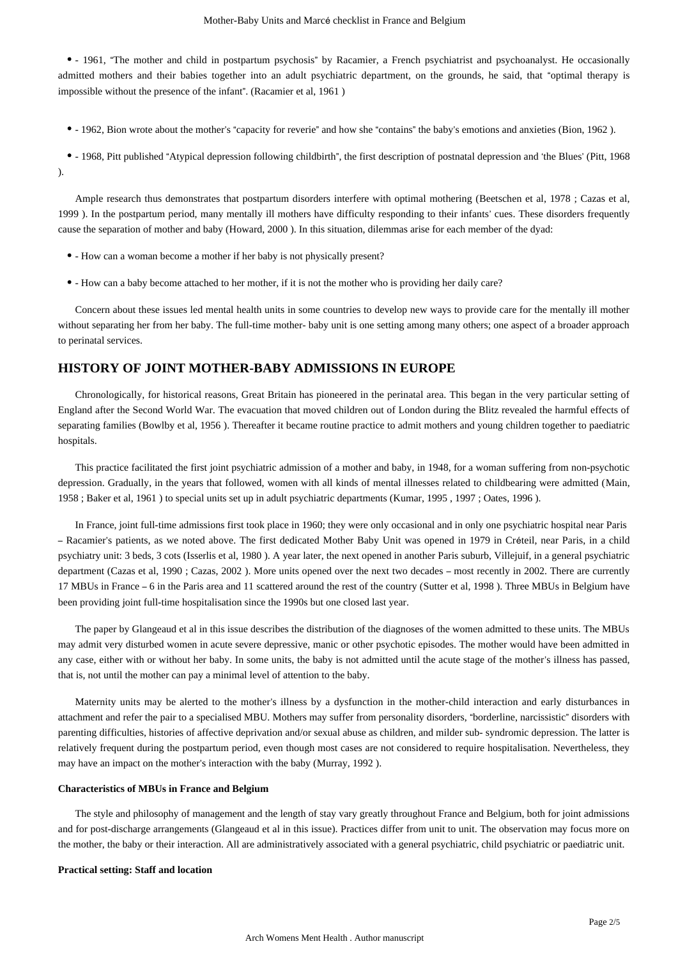- 1961, "The mother and child in postpartum psychosis" by Racamier, a French psychiatrist and psychoanalyst. He occasionally admitted mothers and their babies together into an adult psychiatric department, on the grounds, he said, that "optimal therapy is impossible without the presence of the infant". (Racamier et al, 1961 )

- 1962, Bion wrote about the mother's "capacity for reverie" and how she "contains" the baby's emotions and anxieties (Bion, 1962 ).

- 1968, Pitt published "Atypical depression following childbirth", the first description of postnatal depression and 'the Blues' (Pitt, 1968 ).

Ample research thus demonstrates that postpartum disorders interfere with optimal mothering (Beetschen et al, 1978 ; Cazas et al, 1999 ). In the postpartum period, many mentally ill mothers have difficulty responding to their infants' cues. These disorders frequently cause the separation of mother and baby (Howard, 2000 ). In this situation, dilemmas arise for each member of the dyad:

- How can a woman become a mother if her baby is not physically present?
- How can a baby become attached to her mother, if it is not the mother who is providing her daily care?

Concern about these issues led mental health units in some countries to develop new ways to provide care for the mentally ill mother without separating her from her baby. The full-time mother- baby unit is one setting among many others; one aspect of a broader approach to perinatal services.

## **HISTORY OF JOINT MOTHER-BABY ADMISSIONS IN EUROPE**

Chronologically, for historical reasons, Great Britain has pioneered in the perinatal area. This began in the very particular setting of England after the Second World War. The evacuation that moved children out of London during the Blitz revealed the harmful effects of separating families (Bowlby et al, 1956 ). Thereafter it became routine practice to admit mothers and young children together to paediatric hospitals.

This practice facilitated the first joint psychiatric admission of a mother and baby, in 1948, for a woman suffering from non-psychotic depression. Gradually, in the years that followed, women with all kinds of mental illnesses related to childbearing were admitted (Main, 1958 ; Baker et al, 1961 ) to special units set up in adult psychiatric departments (Kumar, 1995 , 1997 ; Oates, 1996 ).

In France, joint full-time admissions first took place in 1960; they were only occasional and in only one psychiatric hospital near Paris – Racamier's patients, as we noted above. The first dedicated Mother Baby Unit was opened in 1979 in Créteil, near Paris, in a child psychiatry unit: 3 beds, 3 cots (Isserlis et al, 1980 ). A year later, the next opened in another Paris suburb, Villejuif, in a general psychiatric department (Cazas et al, 1990 ; Cazas, 2002 ). More units opened over the next two decades – most recently in 2002. There are currently 17 MBUs in France – 6 in the Paris area and 11 scattered around the rest of the country (Sutter et al, 1998 ). Three MBUs in Belgium have been providing joint full-time hospitalisation since the 1990s but one closed last year.

The paper by Glangeaud et al in this issue describes the distribution of the diagnoses of the women admitted to these units. The MBUs may admit very disturbed women in acute severe depressive, manic or other psychotic episodes. The mother would have been admitted in any case, either with or without her baby. In some units, the baby is not admitted until the acute stage of the mother's illness has passed, that is, not until the mother can pay a minimal level of attention to the baby.

Maternity units may be alerted to the mother's illness by a dysfunction in the mother-child interaction and early disturbances in attachment and refer the pair to a specialised MBU. Mothers may suffer from personality disorders, "borderline, narcissistic" disorders with parenting difficulties, histories of affective deprivation and/or sexual abuse as children, and milder sub- syndromic depression. The latter is relatively frequent during the postpartum period, even though most cases are not considered to require hospitalisation. Nevertheless, they may have an impact on the mother's interaction with the baby (Murray, 1992 ).

## **Characteristics of MBUs in France and Belgium**

The style and philosophy of management and the length of stay vary greatly throughout France and Belgium, both for joint admissions and for post-discharge arrangements (Glangeaud et al in this issue). Practices differ from unit to unit. The observation may focus more on the mother, the baby or their interaction. All are administratively associated with a general psychiatric, child psychiatric or paediatric unit.

#### **Practical setting: Staff and location**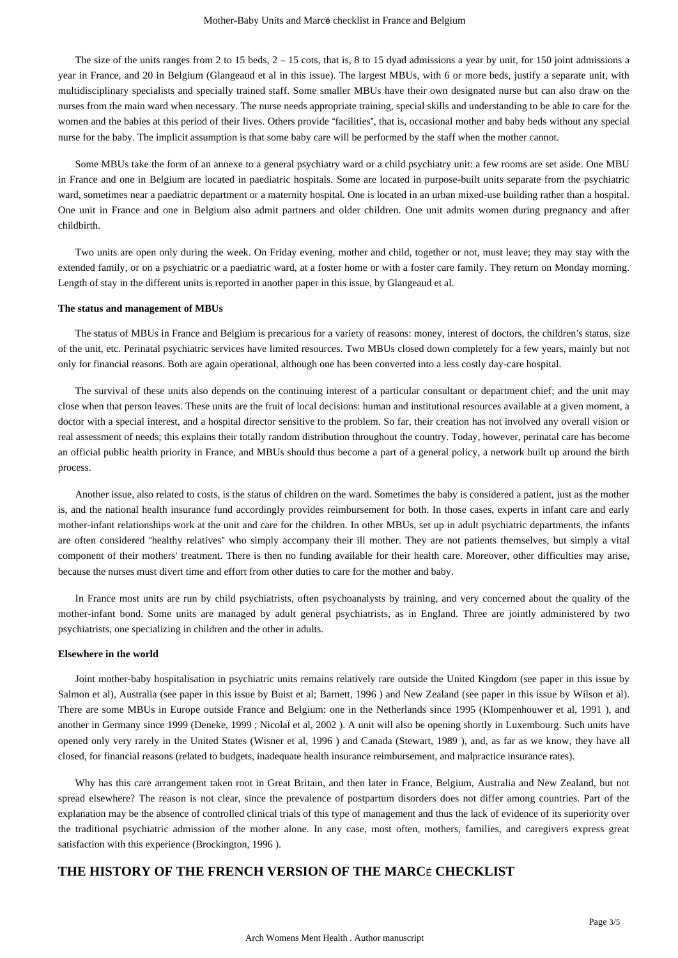The size of the units ranges from 2 to 15 beds, 2 – 15 cots, that is, 8 to 15 dyad admissions a year by unit, for 150 joint admissions a year in France, and 20 in Belgium (Glangeaud et al in this issue). The largest MBUs, with 6 or more beds, justify a separate unit, with multidisciplinary specialists and specially trained staff. Some smaller MBUs have their own designated nurse but can also draw on the nurses from the main ward when necessary. The nurse needs appropriate training, special skills and understanding to be able to care for the women and the babies at this period of their lives. Others provide "facilities", that is, occasional mother and baby beds without any special nurse for the baby. The implicit assumption is that some baby care will be performed by the staff when the mother cannot.

Some MBUs take the form of an annexe to a general psychiatry ward or a child psychiatry unit: a few rooms are set aside. One MBU in France and one in Belgium are located in paediatric hospitals. Some are located in purpose-built units separate from the psychiatric ward, sometimes near a paediatric department or a maternity hospital. One is located in an urban mixed-use building rather than a hospital. One unit in France and one in Belgium also admit partners and older children. One unit admits women during pregnancy and after childbirth.

Two units are open only during the week. On Friday evening, mother and child, together or not, must leave; they may stay with the extended family, or on a psychiatric or a paediatric ward, at a foster home or with a foster care family. They return on Monday morning. Length of stay in the different units is reported in another paper in this issue, by Glangeaud et al.

#### **The status and management of MBUs**

The status of MBUs in France and Belgium is precarious for a variety of reasons: money, interest of doctors, the children's status, size of the unit, etc. Perinatal psychiatric services have limited resources. Two MBUs closed down completely for a few years, mainly but not only for financial reasons. Both are again operational, although one has been converted into a less costly day-care hospital.

The survival of these units also depends on the continuing interest of a particular consultant or department chief; and the unit may close when that person leaves. These units are the fruit of local decisions: human and institutional resources available at a given moment, a doctor with a special interest, and a hospital director sensitive to the problem. So far, their creation has not involved any overall vision or real assessment of needs; this explains their totally random distribution throughout the country. Today, however, perinatal care has become an official public health priority in France, and MBUs should thus become a part of a general policy, a network built up around the birth process.

Another issue, also related to costs, is the status of children on the ward. Sometimes the baby is considered a patient, just as the mother is, and the national health insurance fund accordingly provides reimbursement for both. In those cases, experts in infant care and early mother-infant relationships work at the unit and care for the children. In other MBUs, set up in adult psychiatric departments, the infants are often considered "healthy relatives" who simply accompany their ill mother. They are not patients themselves, but simply a vital component of their mothers' treatment. There is then no funding available for their health care. Moreover, other difficulties may arise, because the nurses must divert time and effort from other duties to care for the mother and baby.

In France most units are run by child psychiatrists, often psychoanalysts by training, and very concerned about the quality of the mother-infant bond. Some units are managed by adult general psychiatrists, as in England. Three are jointly administered by two psychiatrists, one specializing in children and the other in adults.

#### **Elsewhere in the world**

Joint mother-baby hospitalisation in psychiatric units remains relatively rare outside the United Kingdom (see paper in this issue by Salmon et al), Australia (see paper in this issue by Buist et al; Barnett, 1996 ) and New Zealand (see paper in this issue by Wilson et al). There are some MBUs in Europe outside France and Belgium: one in the Netherlands since 1995 (Klompenhouwer et al, 1991 ), and another in Germany since 1999 (Deneke, 1999 ; NicolaÏ et al, 2002 ). A unit will also be opening shortly in Luxembourg. Such units have opened only very rarely in the United States (Wisner et al, 1996 ) and Canada (Stewart, 1989 ), and, as far as we know, they have all closed, for financial reasons (related to budgets, inadequate health insurance reimbursement, and malpractice insurance rates).

Why has this care arrangement taken root in Great Britain, and then later in France, Belgium, Australia and New Zealand, but not spread elsewhere? The reason is not clear, since the prevalence of postpartum disorders does not differ among countries. Part of the explanation may be the absence of controlled clinical trials of this type of management and thus the lack of evidence of its superiority over the traditional psychiatric admission of the mother alone. In any case, most often, mothers, families, and caregivers express great satisfaction with this experience (Brockington, 1996 ).

## **THE HISTORY OF THE FRENCH VERSION OF THE MARC**É **CHECKLIST**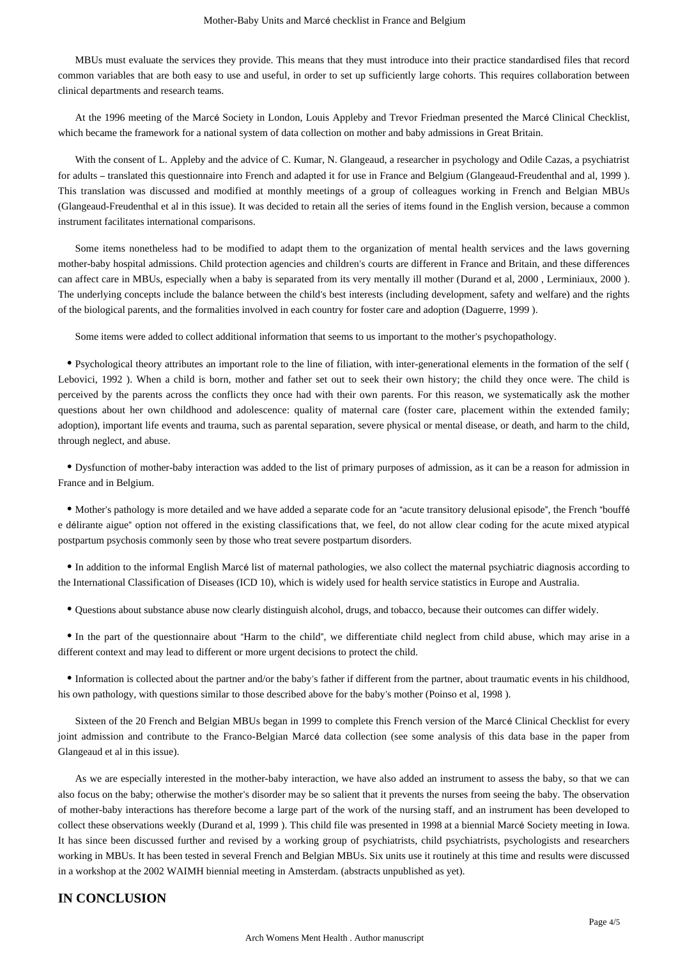MBUs must evaluate the services they provide. This means that they must introduce into their practice standardised files that record common variables that are both easy to use and useful, in order to set up sufficiently large cohorts. This requires collaboration between clinical departments and research teams.

At the 1996 meeting of the Marcé Society in London, Louis Appleby and Trevor Friedman presented the Marcé Clinical Checklist, which became the framework for a national system of data collection on mother and baby admissions in Great Britain.

With the consent of L. Appleby and the advice of C. Kumar, N. Glangeaud, a researcher in psychology and Odile Cazas, a psychiatrist for adults – translated this questionnaire into French and adapted it for use in France and Belgium (Glangeaud-Freudenthal and al, 1999 ). This translation was discussed and modified at monthly meetings of a group of colleagues working in French and Belgian MBUs (Glangeaud-Freudenthal et al in this issue). It was decided to retain all the series of items found in the English version, because a common instrument facilitates international comparisons.

Some items nonetheless had to be modified to adapt them to the organization of mental health services and the laws governing mother-baby hospital admissions. Child protection agencies and children's courts are different in France and Britain, and these differences can affect care in MBUs, especially when a baby is separated from its very mentally ill mother (Durand et al, 2000 , Lerminiaux, 2000 ). The underlying concepts include the balance between the child's best interests (including development, safety and welfare) and the rights of the biological parents, and the formalities involved in each country for foster care and adoption (Daguerre, 1999 ).

Some items were added to collect additional information that seems to us important to the mother's psychopathology.

Psychological theory attributes an important role to the line of filiation, with inter-generational elements in the formation of the self ( Lebovici, 1992 ). When a child is born, mother and father set out to seek their own history; the child they once were. The child is perceived by the parents across the conflicts they once had with their own parents. For this reason, we systematically ask the mother questions about her own childhood and adolescence: quality of maternal care (foster care, placement within the extended family; adoption), important life events and trauma, such as parental separation, severe physical or mental disease, or death, and harm to the child, through neglect, and abuse.

Dysfunction of mother-baby interaction was added to the list of primary purposes of admission, as it can be a reason for admission in France and in Belgium.

Mother's pathology is more detailed and we have added a separate code for an "acute transitory delusional episode", the French "bouffé e délirante aigue" option not offered in the existing classifications that, we feel, do not allow clear coding for the acute mixed atypical postpartum psychosis commonly seen by those who treat severe postpartum disorders.

In addition to the informal English Marcé list of maternal pathologies, we also collect the maternal psychiatric diagnosis according to the International Classification of Diseases (ICD 10), which is widely used for health service statistics in Europe and Australia.

Questions about substance abuse now clearly distinguish alcohol, drugs, and tobacco, because their outcomes can differ widely.

In the part of the questionnaire about "Harm to the child", we differentiate child neglect from child abuse, which may arise in a different context and may lead to different or more urgent decisions to protect the child.

Information is collected about the partner and/or the baby's father if different from the partner, about traumatic events in his childhood, his own pathology, with questions similar to those described above for the baby's mother (Poinso et al, 1998 ).

Sixteen of the 20 French and Belgian MBUs began in 1999 to complete this French version of the Marcé Clinical Checklist for every joint admission and contribute to the Franco-Belgian Marcé data collection (see some analysis of this data base in the paper from Glangeaud et al in this issue).

As we are especially interested in the mother-baby interaction, we have also added an instrument to assess the baby, so that we can also focus on the baby; otherwise the mother's disorder may be so salient that it prevents the nurses from seeing the baby. The observation of mother-baby interactions has therefore become a large part of the work of the nursing staff, and an instrument has been developed to collect these observations weekly (Durand et al, 1999 ). This child file was presented in 1998 at a biennial Marcé Society meeting in Iowa. It has since been discussed further and revised by a working group of psychiatrists, child psychiatrists, psychologists and researchers working in MBUs. It has been tested in several French and Belgian MBUs. Six units use it routinely at this time and results were discussed in a workshop at the 2002 WAIMH biennial meeting in Amsterdam. (abstracts unpublished as yet).

# **IN CONCLUSION**